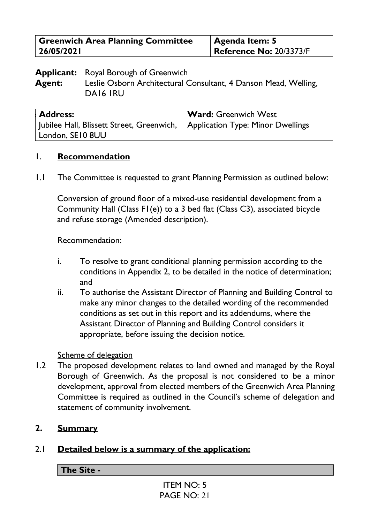| <b>Greenwich Area Planning Committee</b> | Agenda Item: 5                 |
|------------------------------------------|--------------------------------|
| 26/05/2021                               | <b>Reference No: 20/3373/F</b> |

**Applicant:** Royal Borough of Greenwich **Agent:** Leslie Osborn Architectural Consultant, 4 Danson Mead, Welling, DA16 1RU

| <b>Address:</b>                                                               | <b>Ward: Greenwich West</b> |
|-------------------------------------------------------------------------------|-----------------------------|
| Jubilee Hall, Blissett Street, Greenwich,   Application Type: Minor Dwellings |                             |
| London, SE10 8UU                                                              |                             |

#### 1. **Recommendation**

1.1 The Committee is requested to grant Planning Permission as outlined below:

Conversion of ground floor of a mixed-use residential development from a Community Hall (Class F1(e)) to a 3 bed flat (Class C3), associated bicycle and refuse storage (Amended description).

Recommendation:

- i. To resolve to grant conditional planning permission according to the conditions in Appendix 2, to be detailed in the notice of determination; and
- ii. To authorise the Assistant Director of Planning and Building Control to make any minor changes to the detailed wording of the recommended conditions as set out in this report and its addendums, where the Assistant Director of Planning and Building Control considers it appropriate, before issuing the decision notice.

#### Scheme of delegation

1.2 The proposed development relates to land owned and managed by the Royal Borough of Greenwich. As the proposal is not considered to be a minor development, approval from elected members of the Greenwich Area Planning Committee is required as outlined in the Council's scheme of delegation and statement of community involvement.

## **2. Summary**

## 2.1 **Detailed below is a summary of the application:**

**The Site -**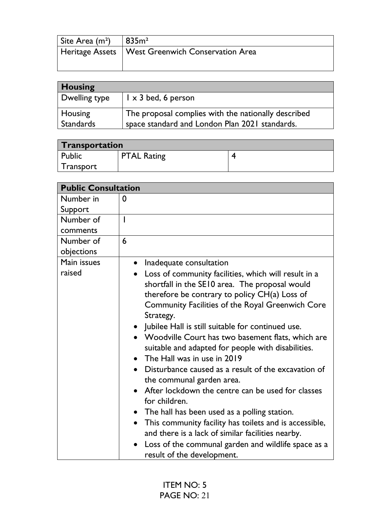| Site Area $(m2)$ | 1835m <sup>2</sup>                                 |
|------------------|----------------------------------------------------|
|                  | Heritage Assets   West Greenwich Conservation Area |
|                  |                                                    |

| <b>Housing</b>   |                                                     |  |
|------------------|-----------------------------------------------------|--|
| Dwelling type    | $\vert$ $\vert$ $\times$ 3 bed, 6 person            |  |
| Housing          | The proposal complies with the nationally described |  |
| <b>Standards</b> | space standard and London Plan 2021 standards.      |  |

| <b>Transportation</b> |                    |  |
|-----------------------|--------------------|--|
| Public                | <b>PTAL Rating</b> |  |
| Transport             |                    |  |

| <b>Public Consultation</b> |                                                                  |  |
|----------------------------|------------------------------------------------------------------|--|
| Number in                  | $\mathbf 0$                                                      |  |
| Support                    |                                                                  |  |
| Number of                  | I                                                                |  |
| comments                   |                                                                  |  |
| Number of                  | 6                                                                |  |
| objections                 |                                                                  |  |
| Main issues                | Inadequate consultation<br>$\bullet$                             |  |
| raised                     | Loss of community facilities, which will result in a             |  |
|                            | shortfall in the SE10 area. The proposal would                   |  |
|                            | therefore be contrary to policy $CH(a)$ Loss of                  |  |
|                            | Community Facilities of the Royal Greenwich Core                 |  |
|                            | Strategy.                                                        |  |
|                            | • Jubilee Hall is still suitable for continued use.              |  |
|                            | • Woodville Court has two basement flats, which are              |  |
|                            | suitable and adapted for people with disabilities.               |  |
|                            | The Hall was in use in 2019<br>$\bullet$                         |  |
|                            | Disturbance caused as a result of the excavation of<br>$\bullet$ |  |
|                            | the communal garden area.                                        |  |
|                            | After lockdown the centre can be used for classes                |  |
|                            | for children.                                                    |  |
|                            | The hall has been used as a polling station.                     |  |
|                            | This community facility has toilets and is accessible,           |  |
|                            | and there is a lack of similar facilities nearby.                |  |
|                            | Loss of the communal garden and wildlife space as a              |  |
|                            | result of the development.                                       |  |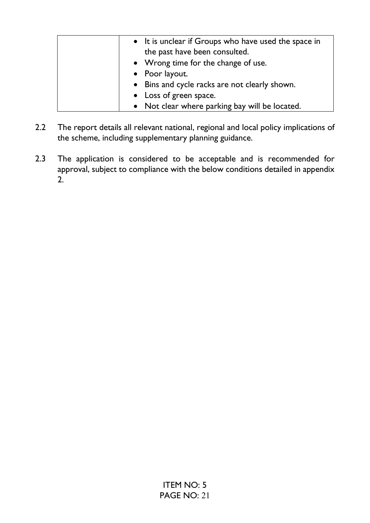| • It is unclear if Groups who have used the space in<br>the past have been consulted. |
|---------------------------------------------------------------------------------------|
| • Wrong time for the change of use.                                                   |
| • Poor layout.                                                                        |
| • Bins and cycle racks are not clearly shown.                                         |
| • Loss of green space.                                                                |
| • Not clear where parking bay will be located.                                        |

- 2.2 The report details all relevant national, regional and local policy implications of the scheme, including supplementary planning guidance.
- 2.3 The application is considered to be acceptable and is recommended for approval, subject to compliance with the below conditions detailed in appendix 2.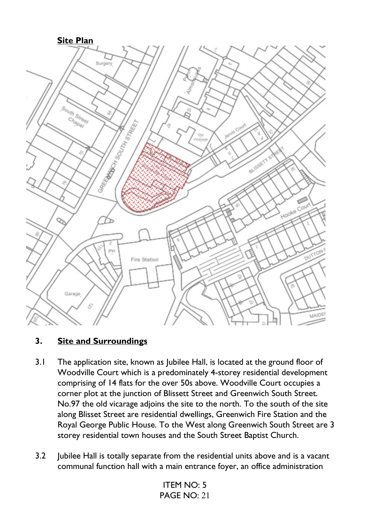

#### **3. Site and Surroundings**

- 3.1 The application site, known as Jubilee Hall, is located at the ground floor of Woodville Court which is a predominately 4-storey residential development comprising of 14 flats for the over 50s above. Woodville Court occupies a corner plot at the junction of Blissett Street and Greenwich South Street. No.97 the old vicarage adjoins the site to the north. To the south of the site along Blisset Street are residential dwellings, Greenwich Fire Station and the Royal George Public House. To the West along Greenwich South Street are 3 storey residential town houses and the South Street Baptist Church.
- 3.2 Jubilee Hall is totally separate from the residential units above and is a vacant communal function hall with a main entrance foyer, an office administration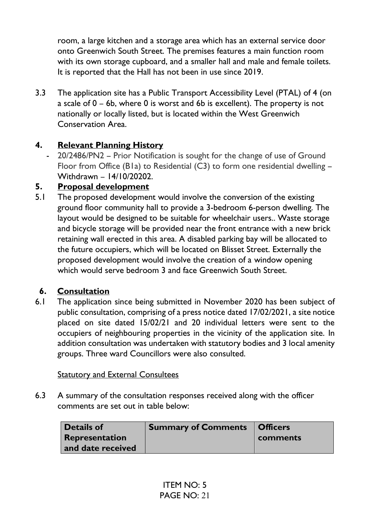room, a large kitchen and a storage area which has an external service door onto Greenwich South Street. The premises features a main function room with its own storage cupboard, and a smaller hall and male and female toilets. It is reported that the Hall has not been in use since 2019.

3.3 The application site has a Public Transport Accessibility Level (PTAL) of 4 (on a scale of 0 – 6b, where 0 is worst and 6b is excellent). The property is not nationally or locally listed, but is located within the West Greenwich Conservation Area.

#### **4. Relevant Planning History**

20/2486/PN2 – Prior Notification is sought for the change of use of Ground Floor from Office (B1a) to Residential (C3) to form one residential dwelling – Withdrawn – 14/10/20202.

## **5. Proposal development**

5.1 The proposed development would involve the conversion of the existing ground floor community hall to provide a 3-bedroom 6-person dwelling. The layout would be designed to be suitable for wheelchair users.. Waste storage and bicycle storage will be provided near the front entrance with a new brick retaining wall erected in this area. A disabled parking bay will be allocated to the future occupiers, which will be located on Blisset Street. Externally the proposed development would involve the creation of a window opening which would serve bedroom 3 and face Greenwich South Street.

## **6. Consultation**

6.1 The application since being submitted in November 2020 has been subject of public consultation, comprising of a press notice dated 17/02/2021, a site notice placed on site dated 15/02/21 and 20 individual letters were sent to the occupiers of neighbouring properties in the vicinity of the application site. In addition consultation was undertaken with statutory bodies and 3 local amenity groups. Three ward Councillors were also consulted.

#### **Statutory and External Consultees**

6.3 A summary of the consultation responses received along with the officer comments are set out in table below:

| <b>Details of</b> | <b>Summary of Comments   Officers</b> |          |
|-------------------|---------------------------------------|----------|
| Representation    |                                       | comments |
| and date received |                                       |          |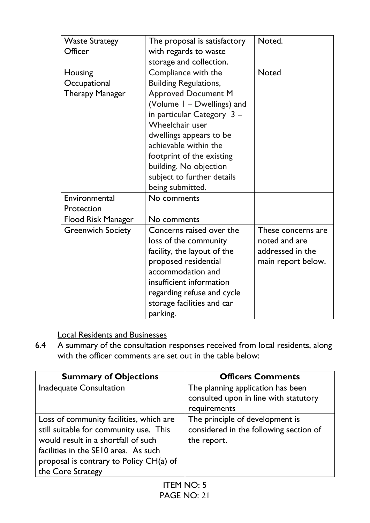| <b>Waste Strategy</b>    | The proposal is satisfactory | Noted.             |
|--------------------------|------------------------------|--------------------|
| Officer                  | with regards to waste        |                    |
|                          | storage and collection.      |                    |
| Housing                  | Compliance with the          | <b>Noted</b>       |
| Occupational             | <b>Building Regulations,</b> |                    |
| <b>Therapy Manager</b>   | <b>Approved Document M</b>   |                    |
|                          | (Volume I - Dwellings) and   |                    |
|                          | in particular Category $3 -$ |                    |
|                          | Wheelchair user              |                    |
|                          | dwellings appears to be      |                    |
|                          | achievable within the        |                    |
|                          | footprint of the existing    |                    |
|                          | building. No objection       |                    |
|                          | subject to further details   |                    |
|                          | being submitted.             |                    |
| Environmental            | No comments                  |                    |
| Protection               |                              |                    |
| Flood Risk Manager       | No comments                  |                    |
| <b>Greenwich Society</b> | Concerns raised over the     | These concerns are |
|                          | loss of the community        | noted and are      |
|                          | facility, the layout of the  | addressed in the   |
|                          | proposed residential         | main report below. |
|                          | accommodation and            |                    |
|                          | insufficient information     |                    |
|                          | regarding refuse and cycle   |                    |
|                          | storage facilities and car   |                    |
|                          | parking.                     |                    |

# Local Residents and Businesses

6.4 A summary of the consultation responses received from local residents, along with the officer comments are set out in the table below:

| <b>Summary of Objections</b>            | <b>Officers Comments</b>               |
|-----------------------------------------|----------------------------------------|
| <b>Inadequate Consultation</b>          | The planning application has been      |
|                                         | consulted upon in line with statutory  |
|                                         | requirements                           |
| Loss of community facilities, which are | The principle of development is        |
| still suitable for community use. This  | considered in the following section of |
| would result in a shortfall of such     | the report.                            |
| facilities in the SE10 area. As such    |                                        |
| proposal is contrary to Policy CH(a) of |                                        |
| the Core Strategy                       |                                        |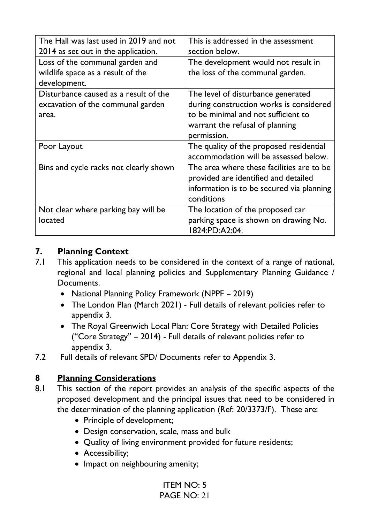| The Hall was last used in 2019 and not | This is addressed in the assessment       |
|----------------------------------------|-------------------------------------------|
| 2014 as set out in the application.    | section below.                            |
| Loss of the communal garden and        | The development would not result in       |
| wildlife space as a result of the      | the loss of the communal garden.          |
| development.                           |                                           |
| Disturbance caused as a result of the  | The level of disturbance generated        |
| excavation of the communal garden      | during construction works is considered   |
| area.                                  | to be minimal and not sufficient to       |
|                                        | warrant the refusal of planning           |
|                                        | permission.                               |
| Poor Layout                            | The quality of the proposed residential   |
|                                        | accommodation will be assessed below.     |
| Bins and cycle racks not clearly shown | The area where these facilities are to be |
|                                        | provided are identified and detailed      |
|                                        | information is to be secured via planning |
|                                        | conditions                                |
| Not clear where parking bay will be    | The location of the proposed car          |
| located                                | parking space is shown on drawing No.     |
|                                        | 1824:PD:A2:04.                            |

#### **7. Planning Context**

- 7.1 This application needs to be considered in the context of a range of national, regional and local planning policies and Supplementary Planning Guidance / Documents.
	- National Planning Policy Framework (NPPF 2019)
	- The London Plan (March 2021) Full details of relevant policies refer to appendix 3.
	- The Royal Greenwich Local Plan: Core Strategy with Detailed Policies ("Core Strategy" – 2014) - Full details of relevant policies refer to appendix 3.
- 7.2 Full details of relevant SPD/ Documents refer to Appendix 3.

## **8 Planning Considerations**

- 8.1 This section of the report provides an analysis of the specific aspects of the proposed development and the principal issues that need to be considered in the determination of the planning application (Ref: 20/3373/F). These are:
	- Principle of development;
	- Design conservation, scale, mass and bulk
	- Quality of living environment provided for future residents;
	- Accessibility;
	- Impact on neighbouring amenity;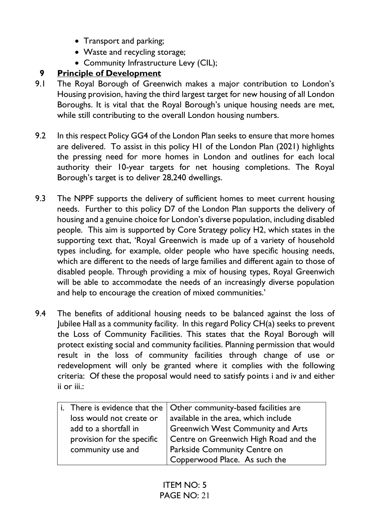- Transport and parking;
- Waste and recycling storage;
- Community Infrastructure Levy (CIL);

## **9 Principle of Development**

- 9.1 The Royal Borough of Greenwich makes a major contribution to London's Housing provision, having the third largest target for new housing of all London Boroughs. It is vital that the Royal Borough's unique housing needs are met, while still contributing to the overall London housing numbers.
- 9.2 In this respect Policy GG4 of the London Plan seeks to ensure that more homes are delivered. To assist in this policy H1 of the London Plan (2021) highlights the pressing need for more homes in London and outlines for each local authority their 10-year targets for net housing completions. The Royal Borough's target is to deliver 28,240 dwellings.
- 9.3 The NPPF supports the delivery of sufficient homes to meet current housing needs. Further to this policy D7 of the London Plan supports the delivery of housing and a genuine choice for London's diverse population, including disabled people. This aim is supported by Core Strategy policy H2, which states in the supporting text that, 'Royal Greenwich is made up of a variety of household types including, for example, older people who have specific housing needs, which are different to the needs of large families and different again to those of disabled people. Through providing a mix of housing types, Royal Greenwich will be able to accommodate the needs of an increasingly diverse population and help to encourage the creation of mixed communities.'
- 9.4 The benefits of additional housing needs to be balanced against the loss of Jubilee Hall as a community facility. In this regard Policy CH(a) seeks to prevent the Loss of Community Facilities. This states that the Royal Borough will protect existing social and community facilities. Planning permission that would result in the loss of community facilities through change of use or redevelopment will only be granted where it complies with the following criteria: Of these the proposal would need to satisfy points i and iv and either ii or iii.:

|                            | i. There is evidence that the $\vert$ Other community-based facilities are |
|----------------------------|----------------------------------------------------------------------------|
| loss would not create or   | available in the area, which include                                       |
| add to a shortfall in      | Greenwich West Community and Arts                                          |
| provision for the specific | Centre on Greenwich High Road and the                                      |
| community use and          | Parkside Community Centre on                                               |
|                            | Copperwood Place. As such the                                              |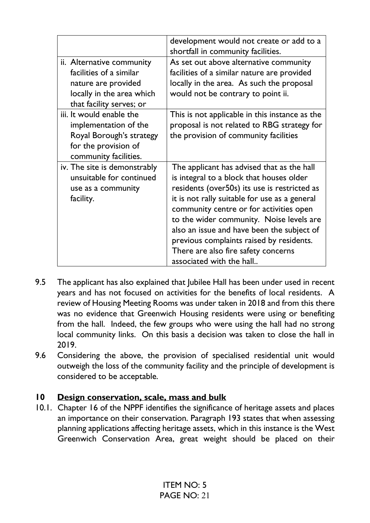|                                                                                                                                      | development would not create or add to a<br>shortfall in community facilities.                                                                                                                                                                                                                                                                                                                                                              |
|--------------------------------------------------------------------------------------------------------------------------------------|---------------------------------------------------------------------------------------------------------------------------------------------------------------------------------------------------------------------------------------------------------------------------------------------------------------------------------------------------------------------------------------------------------------------------------------------|
| ii. Alternative community<br>facilities of a similar<br>nature are provided<br>locally in the area which<br>that facility serves; or | As set out above alternative community<br>facilities of a similar nature are provided<br>locally in the area. As such the proposal<br>would not be contrary to point ii.                                                                                                                                                                                                                                                                    |
| iii. It would enable the<br>implementation of the<br>Royal Borough's strategy<br>for the provision of<br>community facilities.       | This is not applicable in this instance as the<br>proposal is not related to RBG strategy for<br>the provision of community facilities                                                                                                                                                                                                                                                                                                      |
| iv. The site is demonstrably<br>unsuitable for continued<br>use as a community<br>facility.                                          | The applicant has advised that as the hall<br>is integral to a block that houses older<br>residents (over50s) its use is restricted as<br>it is not rally suitable for use as a general<br>community centre or for activities open<br>to the wider community. Noise levels are<br>also an issue and have been the subject of<br>previous complaints raised by residents.<br>There are also fire safety concerns<br>associated with the hall |

- 9.5 The applicant has also explained that Jubilee Hall has been under used in recent years and has not focused on activities for the benefits of local residents. A review of Housing Meeting Rooms was under taken in 2018 and from this there was no evidence that Greenwich Housing residents were using or benefiting from the hall. Indeed, the few groups who were using the hall had no strong local community links. On this basis a decision was taken to close the hall in 2019.
- 9.6 Considering the above, the provision of specialised residential unit would outweigh the loss of the community facility and the principle of development is considered to be acceptable.

## **10 Design conservation, scale, mass and bulk**

10.1. Chapter 16 of the NPPF identifies the significance of heritage assets and places an importance on their conservation. Paragraph 193 states that when assessing planning applications affecting heritage assets, which in this instance is the West Greenwich Conservation Area, great weight should be placed on their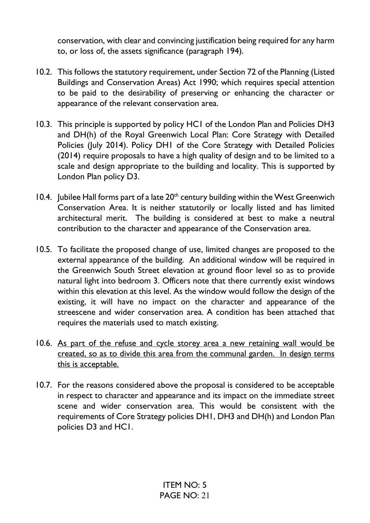conservation, with clear and convincing justification being required for any harm to, or loss of, the assets significance (paragraph 194).

- 10.2. This follows the statutory requirement, under Section 72 of the Planning (Listed Buildings and Conservation Areas) Act 1990; which requires special attention to be paid to the desirability of preserving or enhancing the character or appearance of the relevant conservation area.
- 10.3. This principle is supported by policy HC1 of the London Plan and Policies DH3 and DH(h) of the Royal Greenwich Local Plan: Core Strategy with Detailed Policies (July 2014). Policy DH1 of the Core Strategy with Detailed Policies (2014) require proposals to have a high quality of design and to be limited to a scale and design appropriate to the building and locality. This is supported by London Plan policy D3.
- 10.4. Jubilee Hall forms part of a late  $20<sup>th</sup>$  century building within the West Greenwich Conservation Area. It is neither statutorily or locally listed and has limited architectural merit. The building is considered at best to make a neutral contribution to the character and appearance of the Conservation area.
- 10.5. To facilitate the proposed change of use, limited changes are proposed to the external appearance of the building. An additional window will be required in the Greenwich South Street elevation at ground floor level so as to provide natural light into bedroom 3. Officers note that there currently exist windows within this elevation at this level. As the window would follow the design of the existing, it will have no impact on the character and appearance of the streescene and wider conservation area. A condition has been attached that requires the materials used to match existing.
- 10.6. As part of the refuse and cycle storey area a new retaining wall would be created, so as to divide this area from the communal garden. In design terms this is acceptable.
- 10.7. For the reasons considered above the proposal is considered to be acceptable in respect to character and appearance and its impact on the immediate street scene and wider conservation area. This would be consistent with the requirements of Core Strategy policies DH1, DH3 and DH(h) and London Plan policies D3 and HC1.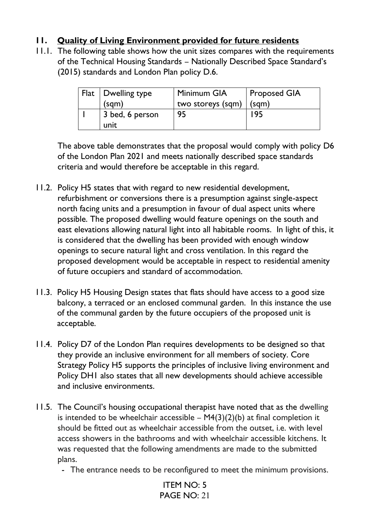## **11. Quality of Living Environment provided for future residents**

11.1. The following table shows how the unit sizes compares with the requirements of the Technical Housing Standards – Nationally Described Space Standard's (2015) standards and London Plan policy D.6.

| $Flat$ Dwelling type | Minimum GIA       | Proposed GIA |
|----------------------|-------------------|--------------|
| (sgm)                | two storeys (sqm) | (sgm)        |
| 3 bed, 6 person      | 95                |              |
| unit                 |                   |              |

The above table demonstrates that the proposal would comply with policy D6 of the London Plan 2021 and meets nationally described space standards criteria and would therefore be acceptable in this regard.

- 11.2. Policy H5 states that with regard to new residential development, refurbishment or conversions there is a presumption against single-aspect north facing units and a presumption in favour of dual aspect units where possible. The proposed dwelling would feature openings on the south and east elevations allowing natural light into all habitable rooms. In light of this, it is considered that the dwelling has been provided with enough window openings to secure natural light and cross ventilation. In this regard the proposed development would be acceptable in respect to residential amenity of future occupiers and standard of accommodation.
- 11.3. Policy H5 Housing Design states that flats should have access to a good size balcony, a terraced or an enclosed communal garden. In this instance the use of the communal garden by the future occupiers of the proposed unit is acceptable.
- 11.4. Policy D7 of the London Plan requires developments to be designed so that they provide an inclusive environment for all members of society. Core Strategy Policy H5 supports the principles of inclusive living environment and Policy DH1 also states that all new developments should achieve accessible and inclusive environments.
- 11.5. The Council's housing occupational therapist have noted that as the dwelling is intended to be wheelchair accessible  $- M4(3)(2)(b)$  at final completion it should be fitted out as wheelchair accessible from the outset, i.e. with level access showers in the bathrooms and with wheelchair accessible kitchens. It was requested that the following amendments are made to the submitted plans.
	- The entrance needs to be reconfigured to meet the minimum provisions.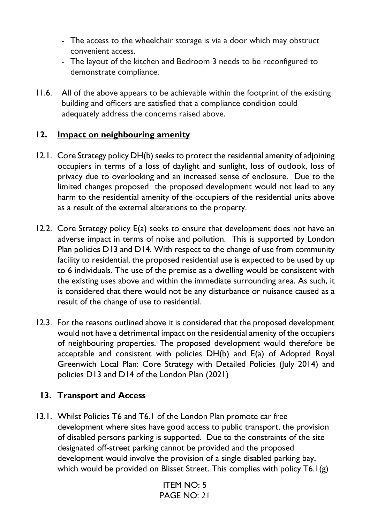- The access to the wheelchair storage is via a door which may obstruct convenient access.
- The layout of the kitchen and Bedroom 3 needs to be reconfigured to demonstrate compliance.
- 11.6. All of the above appears to be achievable within the footprint of the existing building and officers are satisfied that a compliance condition could adequately address the concerns raised above.

#### **12. Impact on neighbouring amenity**

- 12.1. Core Strategy policy DH(b) seeks to protect the residential amenity of adjoining occupiers in terms of a loss of daylight and sunlight, loss of outlook, loss of privacy due to overlooking and an increased sense of enclosure. Due to the limited changes proposed the proposed development would not lead to any harm to the residential amenity of the occupiers of the residential units above as a result of the external alterations to the property.
- 12.2. Core Strategy policy E(a) seeks to ensure that development does not have an adverse impact in terms of noise and pollution. This is supported by London Plan policies D13 and D14. With respect to the change of use from community facility to residential, the proposed residential use is expected to be used by up to 6 individuals. The use of the premise as a dwelling would be consistent with the existing uses above and within the immediate surrounding area. As such, it is considered that there would not be any disturbance or nuisance caused as a result of the change of use to residential.
- 12.3. For the reasons outlined above it is considered that the proposed development would not have a detrimental impact on the residential amenity of the occupiers of neighbouring properties. The proposed development would therefore be acceptable and consistent with policies DH(b) and E(a) of Adopted Royal Greenwich Local Plan: Core Strategy with Detailed Policies (July 2014) and policies D13 and D14 of the London Plan (2021)

## **13. Transport and Access**

13.1. Whilst Policies T6 and T6.1 of the London Plan promote car free development where sites have good access to public transport, the provision of disabled persons parking is supported. Due to the constraints of the site designated off-street parking cannot be provided and the proposed development would involve the provision of a single disabled parking bay, which would be provided on Blisset Street. This complies with policy T6.1(g)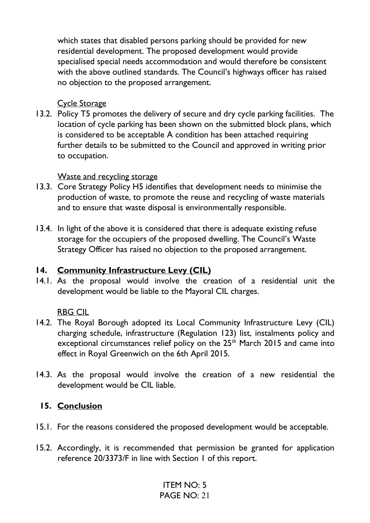which states that disabled persons parking should be provided for new residential development. The proposed development would provide specialised special needs accommodation and would therefore be consistent with the above outlined standards. The Council's highways officer has raised no objection to the proposed arrangement.

#### Cycle Storage

13.2. Policy T5 promotes the delivery of secure and dry cycle parking facilities. The location of cycle parking has been shown on the submitted block plans, which is considered to be acceptable A condition has been attached requiring further details to be submitted to the Council and approved in writing prior to occupation.

#### Waste and recycling storage

- 13.3. Core Strategy Policy H5 identifies that development needs to minimise the production of waste, to promote the reuse and recycling of waste materials and to ensure that waste disposal is environmentally responsible.
- 13.4. In light of the above it is considered that there is adequate existing refuse storage for the occupiers of the proposed dwelling. The Council's Waste Strategy Officer has raised no objection to the proposed arrangement.

#### **14. Community Infrastructure Levy (CIL)**

14.1. As the proposal would involve the creation of a residential unit the development would be liable to the Mayoral CIL charges.

## RBG CIL

- 14.2. The Royal Borough adopted its Local Community Infrastructure Levy (CIL) charging schedule, infrastructure (Regulation 123) list, instalments policy and exceptional circumstances relief policy on the 25<sup>th</sup> March 2015 and came into effect in Royal Greenwich on the 6th April 2015.
- 14.3. As the proposal would involve the creation of a new residential the development would be CIL liable.

## **15. Conclusion**

- 15.1. For the reasons considered the proposed development would be acceptable.
- 15.2. Accordingly, it is recommended that permission be granted for application reference 20/3373/F in line with Section 1 of this report.